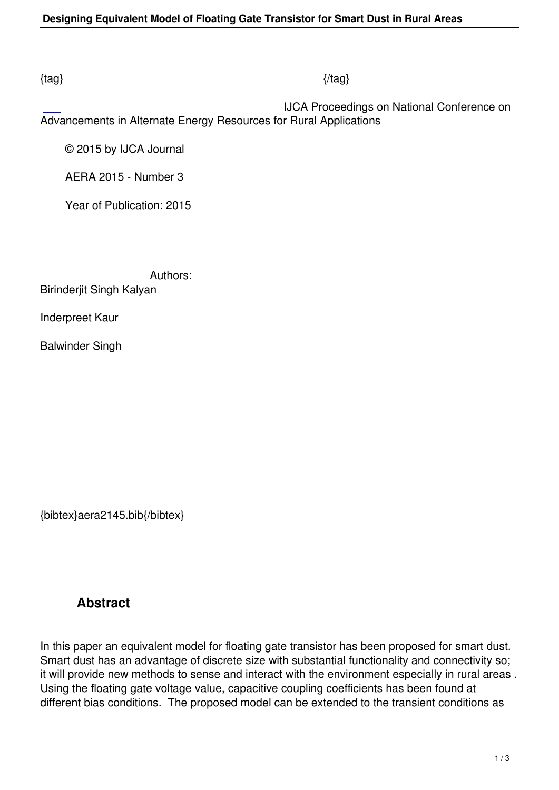### $\{tag\}$

 IJCA Proceedings on National Conference on Advancements in Alternate Energy Resources for Rural Applications

© 2015 by IJCA Journal

AERA 2015 - Number 3

Year of Publication: 2015

 Authors: Birinderjit Singh Kalyan

Inderpreet Kaur

Balwinder Singh

{bibtex}aera2145.bib{/bibtex}

## **Abstract**

In this paper an equivalent model for floating gate transistor has been proposed for smart dust. Smart dust has an advantage of discrete size with substantial functionality and connectivity so; it will provide new methods to sense and interact with the environment especially in rural areas . Using the floating gate voltage value, capacitive coupling coefficients has been found at different bias conditions. The proposed model can be extended to the transient conditions as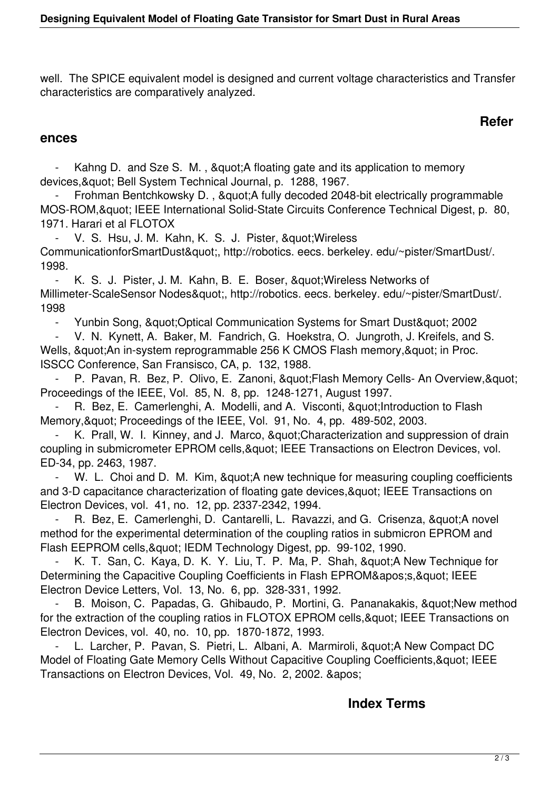well. The SPICE equivalent model is designed and current voltage characteristics and Transfer characteristics are comparatively analyzed.

## **Refer**

#### **ences**

Kahng D. and Sze S. M., & quot; A floating gate and its application to memory devices, & quot; Bell System Technical Journal, p. 1288, 1967.

Frohman Bentchkowsky D., & quot; A fully decoded 2048-bit electrically programmable MOS-ROM, & quot; IEEE International Solid-State Circuits Conference Technical Digest, p. 80, 1971. Harari et al FLOTOX

V. S. Hsu, J. M. Kahn, K. S. J. Pister, " Wireless CommunicationforSmartDust", http://robotics. eecs. berkeley. edu/~pister/SmartDust/. 1998.

- K. S. J. Pister, J. M. Kahn, B. E. Boser, & quot; Wireless Networks of Millimeter-ScaleSensor Nodes", http://robotics. eecs. berkeley. edu/~pister/SmartDust/. 1998

- Yunbin Song, & quot; Optical Communication Systems for Smart Dust & quot; 2002

 - V. N. Kynett, A. Baker, M. Fandrich, G. Hoekstra, O. Jungroth, J. Kreifels, and S. Wells, " An in-system reprogrammable 256 K CMOS Flash memory, " in Proc. ISSCC Conference, San Fransisco, CA, p. 132, 1988.

P. Pavan, R. Bez, P. Olivo, E. Zanoni, " Flash Memory Cells- An Overview, " Proceedings of the IEEE, Vol. 85, N. 8, pp. 1248-1271, August 1997.

R. Bez, E. Camerlenghi, A. Modelli, and A. Visconti, & quot; Introduction to Flash Memory, & quot; Proceedings of the IEEE, Vol. 91, No. 4, pp. 489-502, 2003.

K. Prall, W. I. Kinney, and J. Marco, " Characterization and suppression of drain coupling in submicrometer EPROM cells, & quot; IEEE Transactions on Electron Devices, vol. ED-34, pp. 2463, 1987.

W. L. Choi and D. M. Kim, " A new technique for measuring coupling coefficients and 3-D capacitance characterization of floating gate devices, & quot; IEEE Transactions on Electron Devices, vol. 41, no. 12, pp. 2337-2342, 1994.

R. Bez, E. Camerlenghi, D. Cantarelli, L. Ravazzi, and G. Crisenza, & quot: A novel method for the experimental determination of the coupling ratios in submicron EPROM and Flash EEPROM cells, & quot; IEDM Technology Digest, pp. 99-102, 1990.

K. T. San, C. Kaya, D. K. Y. Liu, T. P. Ma, P. Shah, "A New Technique for Determining the Capacitive Coupling Coefficients in Flash EPROM's," IEEE Electron Device Letters, Vol. 13, No. 6, pp. 328-331, 1992.

B. Moison, C. Papadas, G. Ghibaudo, P. Mortini, G. Pananakakis, " New method for the extraction of the coupling ratios in FLOTOX EPROM cells, & quot; IEEE Transactions on Electron Devices, vol. 40, no. 10, pp. 1870-1872, 1993.

L. Larcher, P. Pavan, S. Pietri, L. Albani, A. Marmiroli, " A New Compact DC Model of Floating Gate Memory Cells Without Capacitive Coupling Coefficients, & quot; IEEE Transactions on Electron Devices, Vol. 49, No. 2, 2002. & apos:

## **Index Terms**